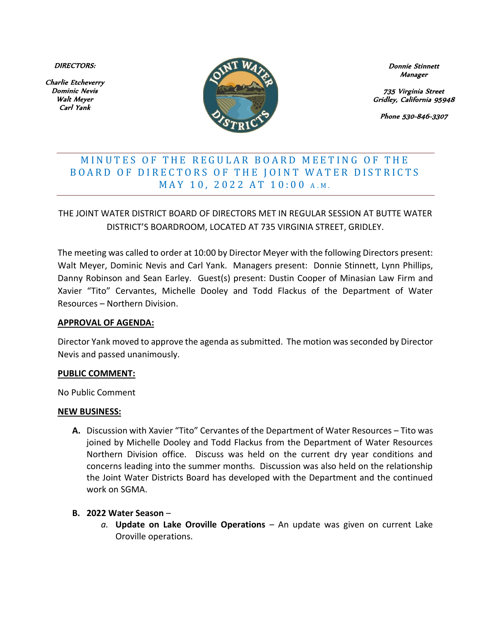DIRECTORS:

Charlie Etcheverry Dominic Nevis Walt Meyer Carl Yank



Donnie Stinnett Manager

735 Virginia Street Gridley, California 95948

Phone 530-846-3307

# MINUTES OF THE REGULAR BOARD MEETING OF THE BOARD OF DIRECTORS OF THE JOINT WATER DISTRICTS MAY 10, 2022 AT 10:00 A.M.

THE JOINT WATER DISTRICT BOARD OF DIRECTORS MET IN REGULAR SESSION AT BUTTE WATER DISTRICT'S BOARDROOM, LOCATED AT 735 VIRGINIA STREET, GRIDLEY.

The meeting was called to order at 10:00 by Director Meyer with the following Directors present: Walt Meyer, Dominic Nevis and Carl Yank. Managers present: Donnie Stinnett, Lynn Phillips, Danny Robinson and Sean Earley. Guest(s) present: Dustin Cooper of Minasian Law Firm and Xavier "Tito" Cervantes, Michelle Dooley and Todd Flackus of the Department of Water Resources – Northern Division.

#### **APPROVAL OF AGENDA:**

Director Yank moved to approve the agenda as submitted. The motion was seconded by Director Nevis and passed unanimously.

### **PUBLIC COMMENT:**

No Public Comment

#### **NEW BUSINESS:**

**A.** Discussion with Xavier "Tito" Cervantes of the Department of Water Resources – Tito was joined by Michelle Dooley and Todd Flackus from the Department of Water Resources Northern Division office. Discuss was held on the current dry year conditions and concerns leading into the summer months. Discussion was also held on the relationship the Joint Water Districts Board has developed with the Department and the continued work on SGMA.

### **B. 2022 Water Season** –

*a.* **Update on Lake Oroville Operations** – An update was given on current Lake Oroville operations.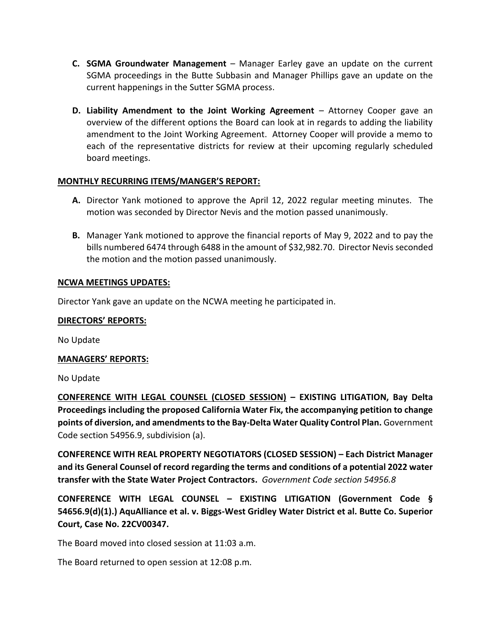- **C. SGMA Groundwater Management**  Manager Earley gave an update on the current SGMA proceedings in the Butte Subbasin and Manager Phillips gave an update on the current happenings in the Sutter SGMA process.
- **D.** Liability Amendment to the Joint Working Agreement Attorney Cooper gave an overview of the different options the Board can look at in regards to adding the liability amendment to the Joint Working Agreement. Attorney Cooper will provide a memo to each of the representative districts for review at their upcoming regularly scheduled board meetings.

## **MONTHLY RECURRING ITEMS/MANGER'S REPORT:**

- **A.** Director Yank motioned to approve the April 12, 2022 regular meeting minutes. The motion was seconded by Director Nevis and the motion passed unanimously.
- **B.** Manager Yank motioned to approve the financial reports of May 9, 2022 and to pay the bills numbered 6474 through 6488 in the amount of \$32,982.70. Director Nevis seconded the motion and the motion passed unanimously.

### **NCWA MEETINGS UPDATES:**

Director Yank gave an update on the NCWA meeting he participated in.

### **DIRECTORS' REPORTS:**

No Update

### **MANAGERS' REPORTS:**

No Update

**CONFERENCE WITH LEGAL COUNSEL (CLOSED SESSION) – EXISTING LITIGATION, Bay Delta Proceedings including the proposed California Water Fix, the accompanying petition to change points of diversion, and amendments to the Bay-Delta Water Quality Control Plan.** Government Code section 54956.9, subdivision (a).

**CONFERENCE WITH REAL PROPERTY NEGOTIATORS (CLOSED SESSION) – Each District Manager and its General Counsel of record regarding the terms and conditions of a potential 2022 water transfer with the State Water Project Contractors.** *Government Code section 54956.8*

**CONFERENCE WITH LEGAL COUNSEL – EXISTING LITIGATION (Government Code § 54656.9(d)(1).) AquAlliance et al. v. Biggs-West Gridley Water District et al. Butte Co. Superior Court, Case No. 22CV00347.** 

The Board moved into closed session at 11:03 a.m.

The Board returned to open session at 12:08 p.m.